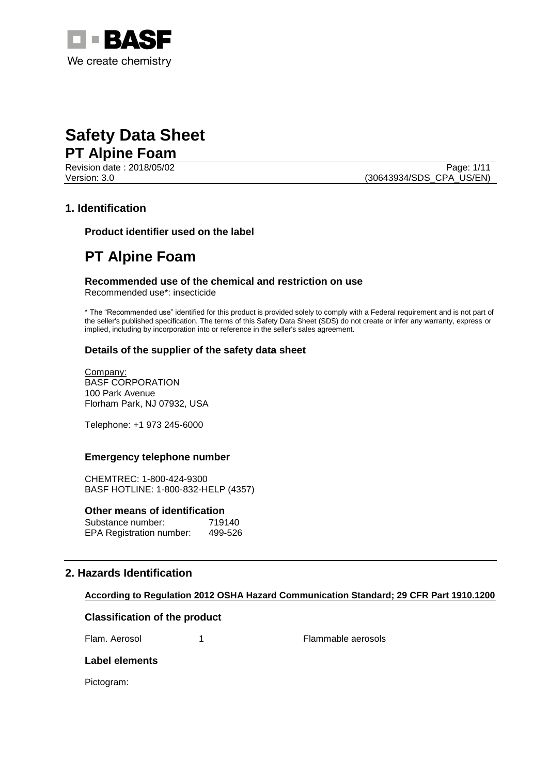

Revision date : 2018/05/02 Page: 1/11

Version: 3.0 (30643934/SDS\_CPA\_US/EN)

# **1. Identification**

**Product identifier used on the label**

# **PT Alpine Foam**

#### **Recommended use of the chemical and restriction on use** Recommended use\*: insecticide

\* The "Recommended use" identified for this product is provided solely to comply with a Federal requirement and is not part of the seller's published specification. The terms of this Safety Data Sheet (SDS) do not create or infer any warranty, express or implied, including by incorporation into or reference in the seller's sales agreement.

# **Details of the supplier of the safety data sheet**

Company: BASF CORPORATION 100 Park Avenue Florham Park, NJ 07932, USA

Telephone: +1 973 245-6000

# **Emergency telephone number**

CHEMTREC: 1-800-424-9300 BASF HOTLINE: 1-800-832-HELP (4357)

#### **Other means of identification**

| Substance number:               | 719140  |
|---------------------------------|---------|
| <b>EPA Registration number:</b> | 499-526 |

# **2. Hazards Identification**

# **According to Regulation 2012 OSHA Hazard Communication Standard; 29 CFR Part 1910.1200**

# **Classification of the product**

Flam. Aerosol 1 1 Flammable aerosols

# **Label elements**

Pictogram: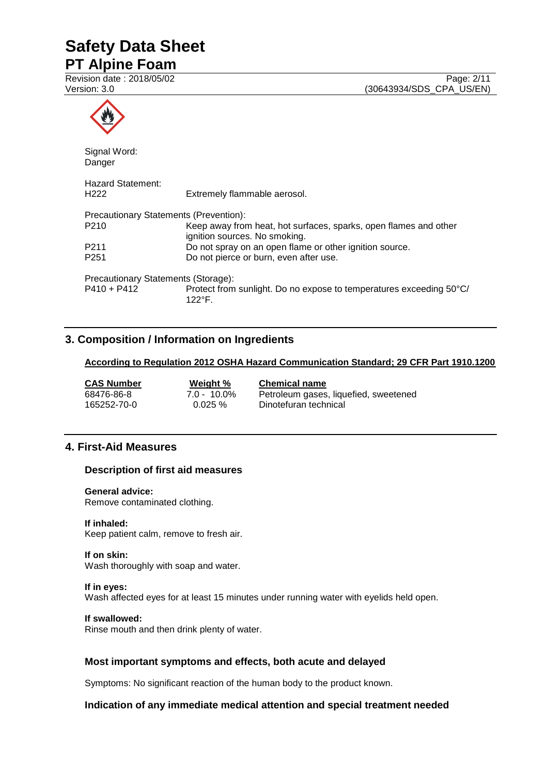# **Safety Data Sheet**

# **PT Alpine Foam**

| Signal Word:<br>Danger                       |                                                                                                   |
|----------------------------------------------|---------------------------------------------------------------------------------------------------|
| <b>Hazard Statement:</b><br>H <sub>222</sub> | Extremely flammable aerosol.                                                                      |
| Precautionary Statements (Prevention):       |                                                                                                   |
| P210                                         | Keep away from heat, hot surfaces, sparks, open flames and other<br>ignition sources. No smoking. |
| P <sub>2</sub> 11                            | Do not spray on an open flame or other ignition source.                                           |
| P <sub>251</sub>                             | Do not pierce or burn, even after use.                                                            |
| Precautionary Statements (Storage):          |                                                                                                   |
| P410 + P412                                  | Protect from sunlight. Do no expose to temperatures exceeding 50°C/<br>122°F                      |

# **3. Composition / Information on Ingredients**

#### **According to Regulation 2012 OSHA Hazard Communication Standard; 29 CFR Part 1910.1200**

| CAS Number  | Weight %       | <b>Chemical name</b>                  |
|-------------|----------------|---------------------------------------|
| 68476-86-8  | $7.0 - 10.0\%$ | Petroleum gases, liquefied, sweetened |
| 165252-70-0 | $0.025 \%$     | Dinotefuran technical                 |

# **4. First-Aid Measures**

# **Description of first aid measures**

#### **General advice:**

Remove contaminated clothing.

#### **If inhaled:**

Keep patient calm, remove to fresh air.

#### **If on skin:**

Wash thoroughly with soap and water.

# **If in eyes:**

Wash affected eyes for at least 15 minutes under running water with eyelids held open.

#### **If swallowed:**

Rinse mouth and then drink plenty of water.

# **Most important symptoms and effects, both acute and delayed**

Symptoms: No significant reaction of the human body to the product known.

# **Indication of any immediate medical attention and special treatment needed**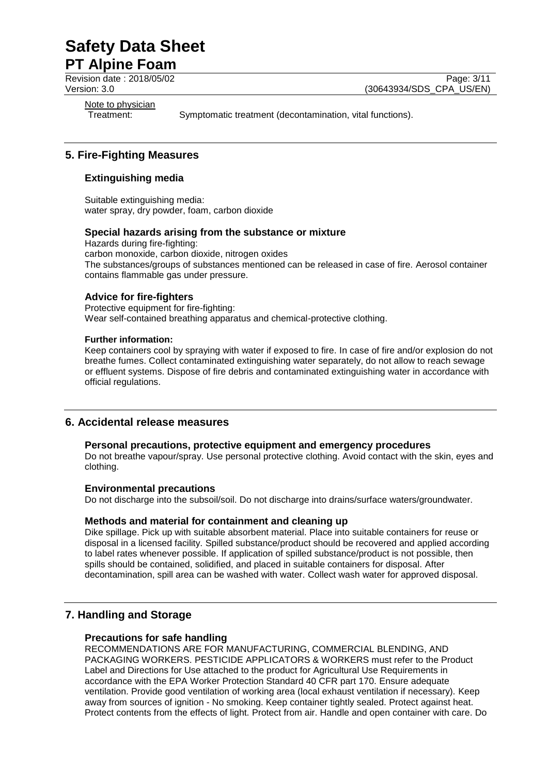# **Safety Data Sheet**

# **PT Alpine Foam**

Revision date : 2018/05/02 Page: 3/11 Version: 3.0 (30643934/SDS\_CPA\_US/EN)

Note to physician<br>Treatment:

Symptomatic treatment (decontamination, vital functions).

# **5. Fire-Fighting Measures**

# **Extinguishing media**

Suitable extinguishing media: water spray, dry powder, foam, carbon dioxide

# **Special hazards arising from the substance or mixture**

Hazards during fire-fighting: carbon monoxide, carbon dioxide, nitrogen oxides The substances/groups of substances mentioned can be released in case of fire. Aerosol container contains flammable gas under pressure.

# **Advice for fire-fighters**

Protective equipment for fire-fighting: Wear self-contained breathing apparatus and chemical-protective clothing.

#### **Further information:**

Keep containers cool by spraying with water if exposed to fire. In case of fire and/or explosion do not breathe fumes. Collect contaminated extinguishing water separately, do not allow to reach sewage or effluent systems. Dispose of fire debris and contaminated extinguishing water in accordance with official regulations.

# **6. Accidental release measures**

# **Personal precautions, protective equipment and emergency procedures**

Do not breathe vapour/spray. Use personal protective clothing. Avoid contact with the skin, eyes and clothing.

# **Environmental precautions**

Do not discharge into the subsoil/soil. Do not discharge into drains/surface waters/groundwater.

# **Methods and material for containment and cleaning up**

Dike spillage. Pick up with suitable absorbent material. Place into suitable containers for reuse or disposal in a licensed facility. Spilled substance/product should be recovered and applied according to label rates whenever possible. If application of spilled substance/product is not possible, then spills should be contained, solidified, and placed in suitable containers for disposal. After decontamination, spill area can be washed with water. Collect wash water for approved disposal.

# **7. Handling and Storage**

# **Precautions for safe handling**

RECOMMENDATIONS ARE FOR MANUFACTURING, COMMERCIAL BLENDING, AND PACKAGING WORKERS. PESTICIDE APPLICATORS & WORKERS must refer to the Product Label and Directions for Use attached to the product for Agricultural Use Requirements in accordance with the EPA Worker Protection Standard 40 CFR part 170. Ensure adequate ventilation. Provide good ventilation of working area (local exhaust ventilation if necessary). Keep away from sources of ignition - No smoking. Keep container tightly sealed. Protect against heat. Protect contents from the effects of light. Protect from air. Handle and open container with care. Do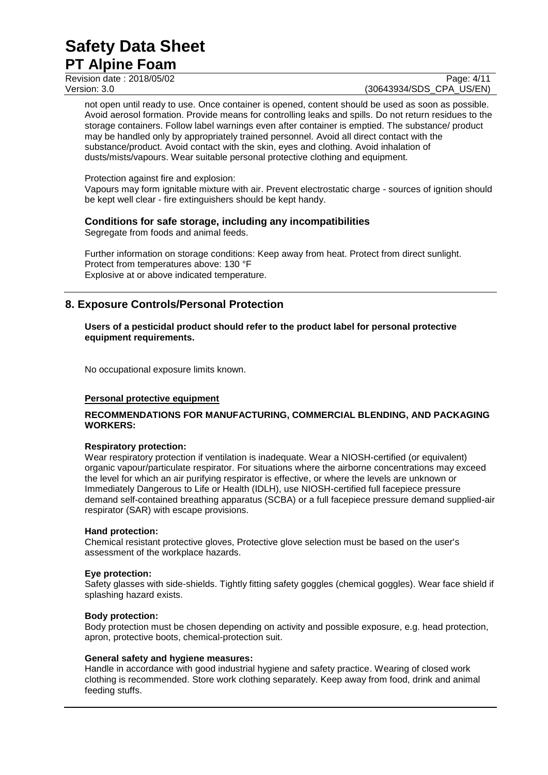Revision date : 2018/05/02 Page: 4/11

Version: 3.0 (30643934/SDS\_CPA\_US/EN)

not open until ready to use. Once container is opened, content should be used as soon as possible. Avoid aerosol formation. Provide means for controlling leaks and spills. Do not return residues to the storage containers. Follow label warnings even after container is emptied. The substance/ product may be handled only by appropriately trained personnel. Avoid all direct contact with the substance/product. Avoid contact with the skin, eyes and clothing. Avoid inhalation of dusts/mists/vapours. Wear suitable personal protective clothing and equipment.

Protection against fire and explosion:

Vapours may form ignitable mixture with air. Prevent electrostatic charge - sources of ignition should be kept well clear - fire extinguishers should be kept handy.

# **Conditions for safe storage, including any incompatibilities**

Segregate from foods and animal feeds.

Further information on storage conditions: Keep away from heat. Protect from direct sunlight. Protect from temperatures above: 130 °F Explosive at or above indicated temperature.

# **8. Exposure Controls/Personal Protection**

**Users of a pesticidal product should refer to the product label for personal protective equipment requirements.**

No occupational exposure limits known.

# **Personal protective equipment**

# **RECOMMENDATIONS FOR MANUFACTURING, COMMERCIAL BLENDING, AND PACKAGING WORKERS:**

#### **Respiratory protection:**

Wear respiratory protection if ventilation is inadequate. Wear a NIOSH-certified (or equivalent) organic vapour/particulate respirator. For situations where the airborne concentrations may exceed the level for which an air purifying respirator is effective, or where the levels are unknown or Immediately Dangerous to Life or Health (IDLH), use NIOSH-certified full facepiece pressure demand self-contained breathing apparatus (SCBA) or a full facepiece pressure demand supplied-air respirator (SAR) with escape provisions.

#### **Hand protection:**

Chemical resistant protective gloves, Protective glove selection must be based on the user's assessment of the workplace hazards.

# **Eye protection:**

Safety glasses with side-shields. Tightly fitting safety goggles (chemical goggles). Wear face shield if splashing hazard exists.

# **Body protection:**

Body protection must be chosen depending on activity and possible exposure, e.g. head protection, apron, protective boots, chemical-protection suit.

#### **General safety and hygiene measures:**

Handle in accordance with good industrial hygiene and safety practice. Wearing of closed work clothing is recommended. Store work clothing separately. Keep away from food, drink and animal feeding stuffs.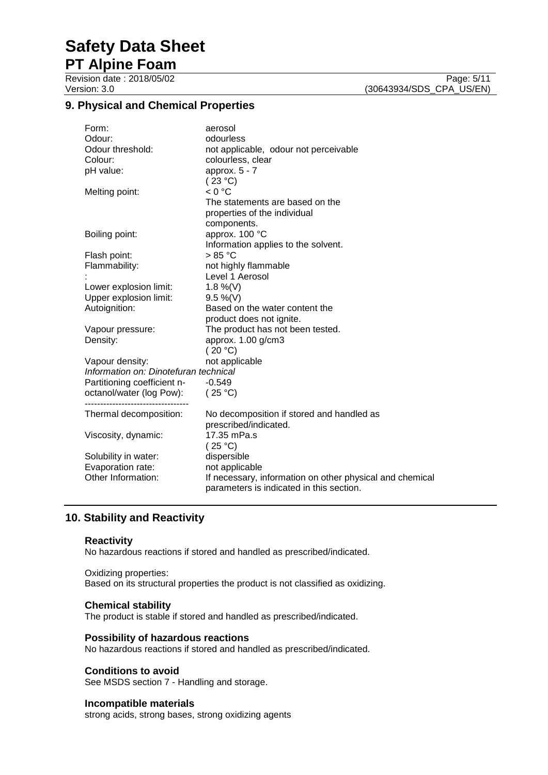# **Safety Data Sheet**

**PT Alpine Foam**

Revision date : 2018/05/02 Page: 5/11<br>Version: 3.0 (30643934/SDS\_CPA\_US/EN) (30643934/SDS\_CPA\_US/EN)

# **9. Physical and Chemical Properties**

|                                       | Form:                       | aerosol                                                  |
|---------------------------------------|-----------------------------|----------------------------------------------------------|
|                                       | Odour:                      | odourless                                                |
|                                       | Odour threshold:            | not applicable, odour not perceivable                    |
|                                       | Colour:                     | colourless, clear                                        |
|                                       | pH value:                   | approx. $5 - 7$                                          |
|                                       |                             | (23 °C)                                                  |
|                                       | Melting point:              | < 0 °C                                                   |
|                                       |                             | The statements are based on the                          |
|                                       |                             | properties of the individual                             |
|                                       |                             | components.                                              |
|                                       | Boiling point:              | approx. 100 °C                                           |
|                                       |                             | Information applies to the solvent.                      |
|                                       | Flash point:                | $>85\text{ °C}$                                          |
|                                       | Flammability:               | not highly flammable                                     |
|                                       |                             | Level 1 Aerosol                                          |
|                                       | Lower explosion limit:      | 1.8 %(V)                                                 |
|                                       | Upper explosion limit:      | $9.5 \%$ (V)                                             |
|                                       | Autoignition:               | Based on the water content the                           |
|                                       |                             | product does not ignite.                                 |
|                                       | Vapour pressure:            | The product has not been tested.                         |
|                                       | Density:                    | approx. 1.00 g/cm3                                       |
|                                       |                             | (20 °C)                                                  |
|                                       | Vapour density:             | not applicable                                           |
| Information on: Dinotefuran technical |                             |                                                          |
|                                       | Partitioning coefficient n- | $-0.549$                                                 |
|                                       | octanol/water (log Pow):    | (25 °C)                                                  |
|                                       | --------------------------- |                                                          |
|                                       | Thermal decomposition:      | No decomposition if stored and handled as                |
|                                       |                             | prescribed/indicated.                                    |
|                                       | Viscosity, dynamic:         | 17.35 mPa.s                                              |
|                                       |                             | (25 °C)                                                  |
|                                       | Solubility in water:        | dispersible                                              |
|                                       | Evaporation rate:           | not applicable                                           |
|                                       | Other Information:          | If necessary, information on other physical and chemical |
|                                       |                             | parameters is indicated in this section.                 |
|                                       |                             |                                                          |

# **10. Stability and Reactivity**

#### **Reactivity**

No hazardous reactions if stored and handled as prescribed/indicated.

# Oxidizing properties:

Based on its structural properties the product is not classified as oxidizing.

#### **Chemical stability**

The product is stable if stored and handled as prescribed/indicated.

# **Possibility of hazardous reactions**

No hazardous reactions if stored and handled as prescribed/indicated.

#### **Conditions to avoid**

See MSDS section 7 - Handling and storage.

#### **Incompatible materials**

strong acids, strong bases, strong oxidizing agents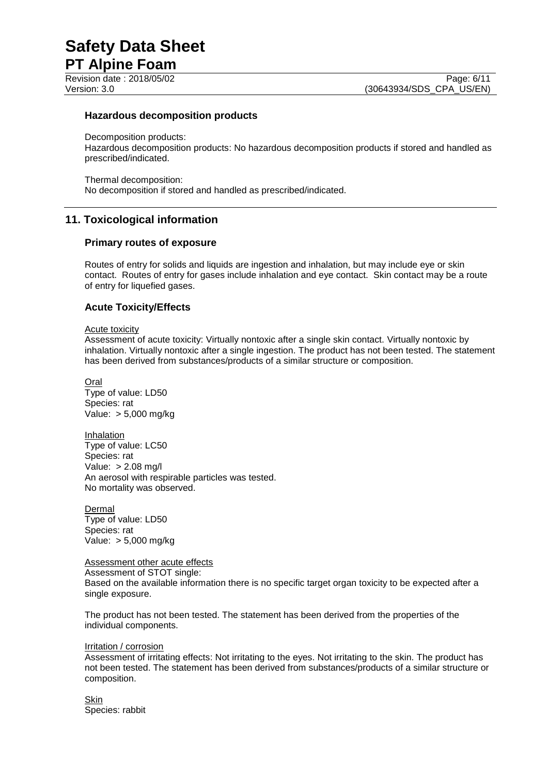Page: 6/11

#### **Hazardous decomposition products**

Decomposition products: Hazardous decomposition products: No hazardous decomposition products if stored and handled as prescribed/indicated.

Thermal decomposition: No decomposition if stored and handled as prescribed/indicated.

# **11. Toxicological information**

#### **Primary routes of exposure**

Routes of entry for solids and liquids are ingestion and inhalation, but may include eye or skin contact. Routes of entry for gases include inhalation and eye contact. Skin contact may be a route of entry for liquefied gases.

# **Acute Toxicity/Effects**

#### Acute toxicity

Assessment of acute toxicity: Virtually nontoxic after a single skin contact. Virtually nontoxic by inhalation. Virtually nontoxic after a single ingestion. The product has not been tested. The statement has been derived from substances/products of a similar structure or composition.

Oral Type of value: LD50 Species: rat Value: > 5,000 mg/kg

**Inhalation** Type of value: LC50 Species: rat Value: > 2.08 mg/l An aerosol with respirable particles was tested. No mortality was observed.

Dermal Type of value: LD50 Species: rat Value: > 5,000 mg/kg

Assessment other acute effects

Assessment of STOT single:

Based on the available information there is no specific target organ toxicity to be expected after a single exposure.

The product has not been tested. The statement has been derived from the properties of the individual components.

#### Irritation / corrosion

Assessment of irritating effects: Not irritating to the eyes. Not irritating to the skin. The product has not been tested. The statement has been derived from substances/products of a similar structure or composition.

Skin Species: rabbit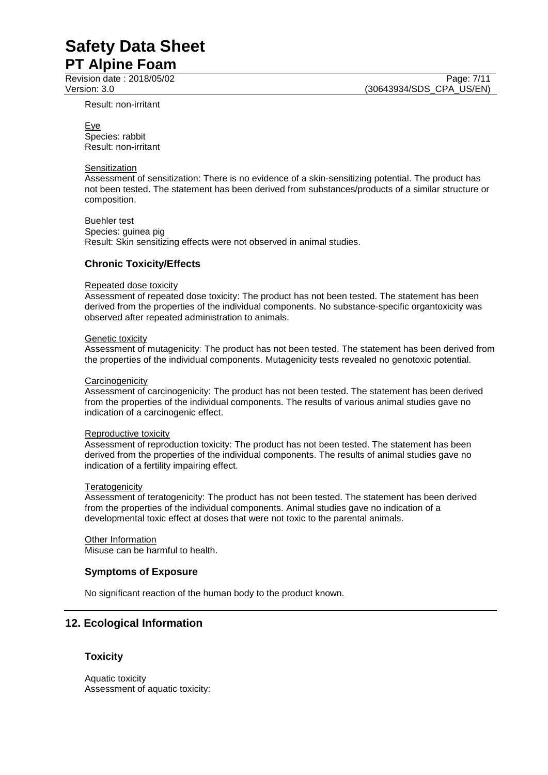Provision date : 2018/05/02 Page: 7/11

Result: non-irritant

Eye Species: rabbit Result: non-irritant

#### **Sensitization**

Assessment of sensitization: There is no evidence of a skin-sensitizing potential. The product has not been tested. The statement has been derived from substances/products of a similar structure or composition.

Buehler test Species: guinea pig Result: Skin sensitizing effects were not observed in animal studies.

#### **Chronic Toxicity/Effects**

#### Repeated dose toxicity

Assessment of repeated dose toxicity: The product has not been tested. The statement has been derived from the properties of the individual components. No substance-specific organtoxicity was observed after repeated administration to animals.

#### Genetic toxicity

Assessment of mutagenicity: The product has not been tested. The statement has been derived from the properties of the individual components. Mutagenicity tests revealed no genotoxic potential.

#### **Carcinogenicity**

Assessment of carcinogenicity: The product has not been tested. The statement has been derived from the properties of the individual components. The results of various animal studies gave no indication of a carcinogenic effect.

#### Reproductive toxicity

Assessment of reproduction toxicity: The product has not been tested. The statement has been derived from the properties of the individual components. The results of animal studies gave no indication of a fertility impairing effect.

#### **Teratogenicity**

Assessment of teratogenicity: The product has not been tested. The statement has been derived from the properties of the individual components. Animal studies gave no indication of a developmental toxic effect at doses that were not toxic to the parental animals.

Other Information Misuse can be harmful to health.

#### **Symptoms of Exposure**

No significant reaction of the human body to the product known.

# **12. Ecological Information**

#### **Toxicity**

Aquatic toxicity Assessment of aquatic toxicity:

Version: 3.0 (30643934/SDS\_CPA\_US/EN)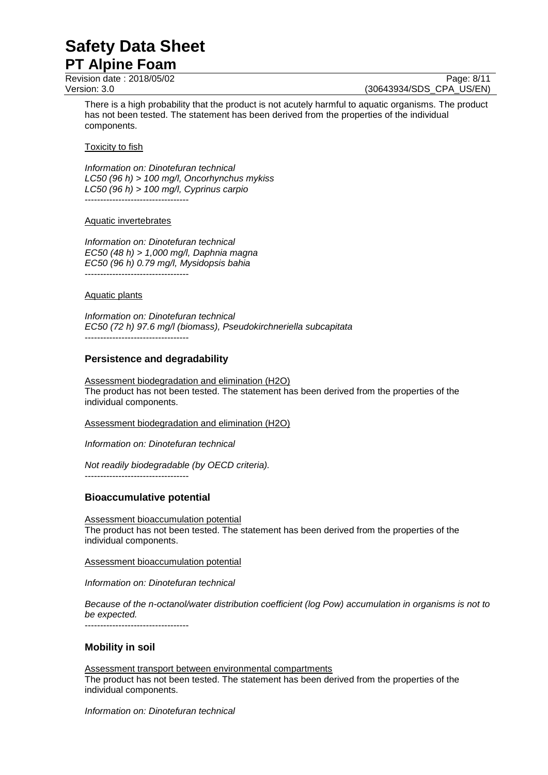Page: 8/11

Version: 3.0 (30643934/SDS\_CPA\_US/EN)

There is a high probability that the product is not acutely harmful to aquatic organisms. The product has not been tested. The statement has been derived from the properties of the individual components.

Toxicity to fish

*Information on: Dinotefuran technical LC50 (96 h) > 100 mg/l, Oncorhynchus mykiss LC50 (96 h) > 100 mg/l, Cyprinus carpio* ----------------------------------

#### Aquatic invertebrates

*Information on: Dinotefuran technical EC50 (48 h) > 1,000 mg/l, Daphnia magna EC50 (96 h) 0.79 mg/l, Mysidopsis bahia* ----------------------------------

#### Aquatic plants

*Information on: Dinotefuran technical EC50 (72 h) 97.6 mg/l (biomass), Pseudokirchneriella subcapitata* ----------------------------------

# **Persistence and degradability**

Assessment biodegradation and elimination (H2O) The product has not been tested. The statement has been derived from the properties of the individual components.

Assessment biodegradation and elimination (H2O)

*Information on: Dinotefuran technical*

*Not readily biodegradable (by OECD criteria).*

----------------------------------

# **Bioaccumulative potential**

Assessment bioaccumulation potential The product has not been tested. The statement has been derived from the properties of the individual components.

Assessment bioaccumulation potential

*Information on: Dinotefuran technical*

*Because of the n-octanol/water distribution coefficient (log Pow) accumulation in organisms is not to be expected.*

----------------------------------

#### **Mobility in soil**

Assessment transport between environmental compartments The product has not been tested. The statement has been derived from the properties of the individual components.

*Information on: Dinotefuran technical*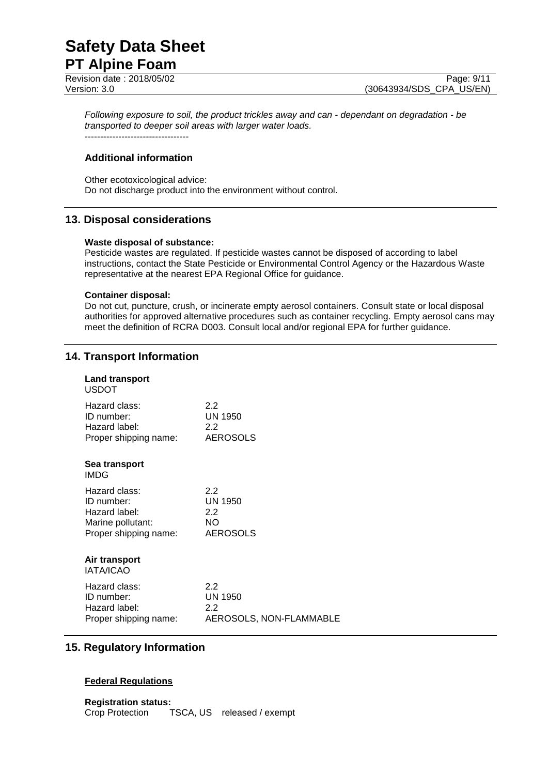Page: 9/11

Version: 3.0 (30643934/SDS\_CPA\_US/EN)

*Following exposure to soil, the product trickles away and can - dependant on degradation - be transported to deeper soil areas with larger water loads.*

# **Additional information**

----------------------------------

Other ecotoxicological advice: Do not discharge product into the environment without control.

# **13. Disposal considerations**

#### **Waste disposal of substance:**

Pesticide wastes are regulated. If pesticide wastes cannot be disposed of according to label instructions, contact the State Pesticide or Environmental Control Agency or the Hazardous Waste representative at the nearest EPA Regional Office for guidance.

#### **Container disposal:**

Do not cut, puncture, crush, or incinerate empty aerosol containers. Consult state or local disposal authorities for approved alternative procedures such as container recycling. Empty aerosol cans may meet the definition of RCRA D003. Consult local and/or regional EPA for further guidance.

# **14. Transport Information**

| Land transport<br><b>USDOT</b>    |                         |
|-----------------------------------|-------------------------|
| Hazard class:                     | 2.2                     |
| ID number:                        | <b>UN 1950</b>          |
| Hazard label:                     | $2.2\phantom{0}$        |
| Proper shipping name:             | <b>AEROSOLS</b>         |
| Sea transport<br><b>IMDG</b>      |                         |
| Hazard class:                     | 2.2                     |
| ID number:                        | UN 1950                 |
| Hazard label:                     | 2.2                     |
| Marine pollutant:                 | NO.                     |
| Proper shipping name:             | <b>AEROSOLS</b>         |
| Air transport<br><b>IATA/ICAO</b> |                         |
| Hazard class:                     | 2.2                     |
| ID number:                        | UN 1950                 |
| Hazard label:                     | 2.2                     |
| Proper shipping name:             | AEROSOLS, NON-FLAMMABLE |

# **15. Regulatory Information**

# **Federal Regulations**

**Registration status:** Crop Protection TSCA, US released / exempt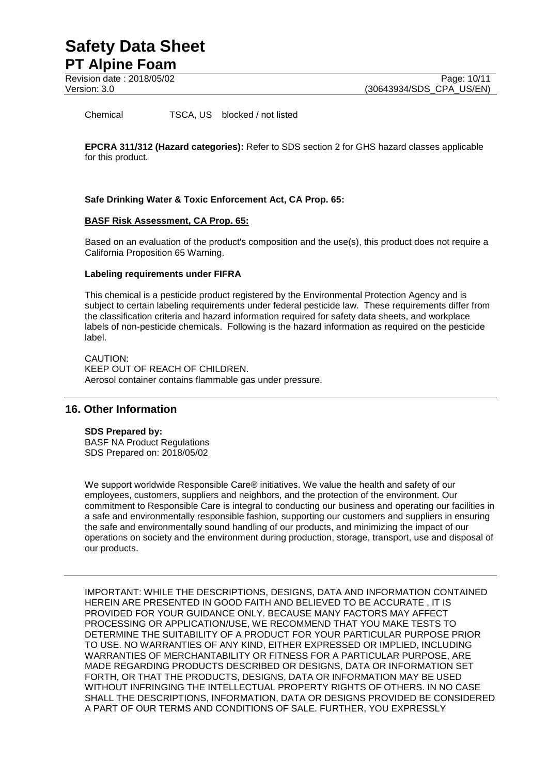Chemical TSCA, US blocked / not listed

**EPCRA 311/312 (Hazard categories):** Refer to SDS section 2 for GHS hazard classes applicable for this product.

#### **Safe Drinking Water & Toxic Enforcement Act, CA Prop. 65:**

#### **BASF Risk Assessment, CA Prop. 65:**

Based on an evaluation of the product's composition and the use(s), this product does not require a California Proposition 65 Warning.

#### **Labeling requirements under FIFRA**

This chemical is a pesticide product registered by the Environmental Protection Agency and is subject to certain labeling requirements under federal pesticide law. These requirements differ from the classification criteria and hazard information required for safety data sheets, and workplace labels of non-pesticide chemicals. Following is the hazard information as required on the pesticide label.

CAUTION: KEEP OUT OF REACH OF CHILDREN. Aerosol container contains flammable gas under pressure.

# **16. Other Information**

#### **SDS Prepared by:**

BASF NA Product Regulations SDS Prepared on: 2018/05/02

We support worldwide Responsible Care® initiatives. We value the health and safety of our employees, customers, suppliers and neighbors, and the protection of the environment. Our commitment to Responsible Care is integral to conducting our business and operating our facilities in a safe and environmentally responsible fashion, supporting our customers and suppliers in ensuring the safe and environmentally sound handling of our products, and minimizing the impact of our operations on society and the environment during production, storage, transport, use and disposal of our products.

IMPORTANT: WHILE THE DESCRIPTIONS, DESIGNS, DATA AND INFORMATION CONTAINED HEREIN ARE PRESENTED IN GOOD FAITH AND BELIEVED TO BE ACCURATE , IT IS PROVIDED FOR YOUR GUIDANCE ONLY. BECAUSE MANY FACTORS MAY AFFECT PROCESSING OR APPLICATION/USE, WE RECOMMEND THAT YOU MAKE TESTS TO DETERMINE THE SUITABILITY OF A PRODUCT FOR YOUR PARTICULAR PURPOSE PRIOR TO USE. NO WARRANTIES OF ANY KIND, EITHER EXPRESSED OR IMPLIED, INCLUDING WARRANTIES OF MERCHANTABILITY OR FITNESS FOR A PARTICULAR PURPOSE, ARE MADE REGARDING PRODUCTS DESCRIBED OR DESIGNS, DATA OR INFORMATION SET FORTH, OR THAT THE PRODUCTS, DESIGNS, DATA OR INFORMATION MAY BE USED WITHOUT INFRINGING THE INTELLECTUAL PROPERTY RIGHTS OF OTHERS. IN NO CASE SHALL THE DESCRIPTIONS, INFORMATION, DATA OR DESIGNS PROVIDED BE CONSIDERED A PART OF OUR TERMS AND CONDITIONS OF SALE. FURTHER, YOU EXPRESSLY